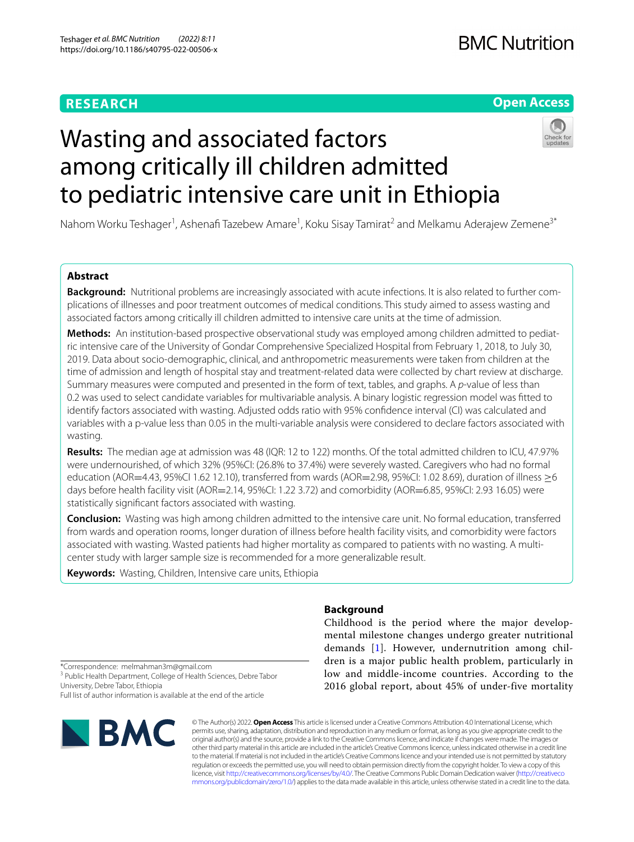# **RESEARCH**

# **Open Access**



# Wasting and associated factors among critically ill children admitted to pediatric intensive care unit in Ethiopia

Nahom Worku Teshager<sup>1</sup>, Ashenafi Tazebew Amare<sup>1</sup>, Koku Sisay Tamirat<sup>2</sup> and Melkamu Aderajew Zemene<sup>3\*</sup>

# **Abstract**

**Background:** Nutritional problems are increasingly associated with acute infections. It is also related to further complications of illnesses and poor treatment outcomes of medical conditions. This study aimed to assess wasting and associated factors among critically ill children admitted to intensive care units at the time of admission.

**Methods:** An institution-based prospective observational study was employed among children admitted to pediatric intensive care of the University of Gondar Comprehensive Specialized Hospital from February 1, 2018, to July 30, 2019. Data about socio-demographic, clinical, and anthropometric measurements were taken from children at the time of admission and length of hospital stay and treatment-related data were collected by chart review at discharge. Summary measures were computed and presented in the form of text, tables, and graphs. A *p*-value of less than 0.2 was used to select candidate variables for multivariable analysis. A binary logistic regression model was ftted to identify factors associated with wasting. Adjusted odds ratio with 95% confdence interval (CI) was calculated and variables with a p-value less than 0.05 in the multi-variable analysis were considered to declare factors associated with wasting.

**Results:** The median age at admission was 48 (IQR: 12 to 122) months. Of the total admitted children to ICU, 47.97% were undernourished, of which 32% (95%CI: (26.8% to 37.4%) were severely wasted. Caregivers who had no formal education (AOR=4.43, 95%CI 1.62 12.10), transferred from wards (AOR=2.98, 95%CI: 1.02 8.69), duration of illness >6 days before health facility visit (AOR=2.14, 95%CI: 1.22 3.72) and comorbidity (AOR=6.85, 95%CI: 2.93 16.05) were statistically signifcant factors associated with wasting.

**Conclusion:** Wasting was high among children admitted to the intensive care unit. No formal education, transferred from wards and operation rooms, longer duration of illness before health facility visits, and comorbidity were factors associated with wasting. Wasted patients had higher mortality as compared to patients with no wasting. A multicenter study with larger sample size is recommended for a more generalizable result.

**Keywords:** Wasting, Children, Intensive care units, Ethiopia

# **Background**

Childhood is the period where the major developmental milestone changes undergo greater nutritional demands [\[1](#page-6-0)]. However, undernutrition among children is a major public health problem, particularly in low and middle-income countries. According to the 2016 global report, about 45% of under-five mortality

\*Correspondence: melmahman3m@gmail.com

<sup>3</sup> Public Health Department, College of Health Sciences, Debre Tabor University, Debre Tabor, Ethiopia

Full list of author information is available at the end of the article



© The Author(s) 2022. **Open Access** This article is licensed under a Creative Commons Attribution 4.0 International License, which permits use, sharing, adaptation, distribution and reproduction in any medium or format, as long as you give appropriate credit to the original author(s) and the source, provide a link to the Creative Commons licence, and indicate if changes were made. The images or other third party material in this article are included in the article's Creative Commons licence, unless indicated otherwise in a credit line to the material. If material is not included in the article's Creative Commons licence and your intended use is not permitted by statutory regulation or exceeds the permitted use, you will need to obtain permission directly from the copyright holder. To view a copy of this licence, visit [http://creativecommons.org/licenses/by/4.0/.](http://creativecommons.org/licenses/by/4.0/) The Creative Commons Public Domain Dedication waiver ([http://creativeco](http://creativecommons.org/publicdomain/zero/1.0/) [mmons.org/publicdomain/zero/1.0/](http://creativecommons.org/publicdomain/zero/1.0/)) applies to the data made available in this article, unless otherwise stated in a credit line to the data.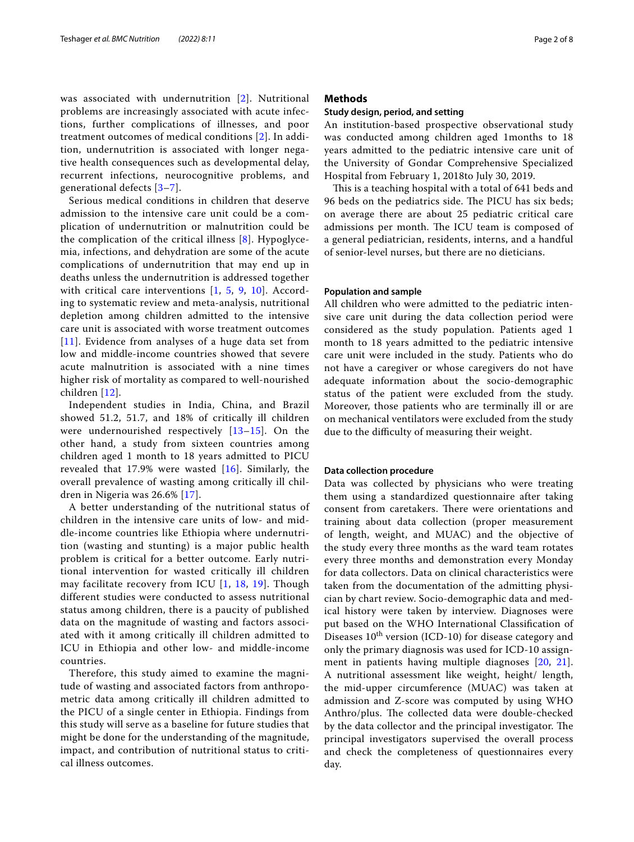was associated with undernutrition [[2](#page-6-1)]. Nutritional problems are increasingly associated with acute infections, further complications of illnesses, and poor treatment outcomes of medical conditions [\[2\]](#page-6-1). In addition, undernutrition is associated with longer negative health consequences such as developmental delay, recurrent infections, neurocognitive problems, and generational defects [\[3](#page-6-2)–[7\]](#page-6-3).

Serious medical conditions in children that deserve admission to the intensive care unit could be a complication of undernutrition or malnutrition could be the complication of the critical illness [[8\]](#page-6-4). Hypoglycemia, infections, and dehydration are some of the acute complications of undernutrition that may end up in deaths unless the undernutrition is addressed together with critical care interventions [[1,](#page-6-0) [5](#page-6-5), [9](#page-6-6), [10](#page-6-7)]. According to systematic review and meta-analysis, nutritional depletion among children admitted to the intensive care unit is associated with worse treatment outcomes [[11](#page-6-8)]. Evidence from analyses of a huge data set from low and middle-income countries showed that severe acute malnutrition is associated with a nine times higher risk of mortality as compared to well-nourished children [[12](#page-6-9)].

Independent studies in India, China, and Brazil showed 51.2, 51.7, and 18% of critically ill children were undernourished respectively  $[13-15]$  $[13-15]$  $[13-15]$ . On the other hand, a study from sixteen countries among children aged 1 month to 18 years admitted to PICU revealed that 17.9% were wasted [[16\]](#page-6-12). Similarly, the overall prevalence of wasting among critically ill children in Nigeria was 26.6% [[17](#page-6-13)].

A better understanding of the nutritional status of children in the intensive care units of low- and middle-income countries like Ethiopia where undernutrition (wasting and stunting) is a major public health problem is critical for a better outcome. Early nutritional intervention for wasted critically ill children may facilitate recovery from ICU [[1,](#page-6-0) [18](#page-6-14), [19](#page-6-15)]. Though different studies were conducted to assess nutritional status among children, there is a paucity of published data on the magnitude of wasting and factors associated with it among critically ill children admitted to ICU in Ethiopia and other low- and middle-income countries.

Therefore, this study aimed to examine the magnitude of wasting and associated factors from anthropometric data among critically ill children admitted to the PICU of a single center in Ethiopia. Findings from this study will serve as a baseline for future studies that might be done for the understanding of the magnitude, impact, and contribution of nutritional status to critical illness outcomes.

# **Methods**

### **Study design, period, and setting**

An institution-based prospective observational study was conducted among children aged 1months to 18 years admitted to the pediatric intensive care unit of the University of Gondar Comprehensive Specialized Hospital from February 1, 2018to July 30, 2019.

This is a teaching hospital with a total of 641 beds and 96 beds on the pediatrics side. The PICU has six beds; on average there are about 25 pediatric critical care admissions per month. The ICU team is composed of a general pediatrician, residents, interns, and a handful of senior-level nurses, but there are no dieticians.

#### **Population and sample**

All children who were admitted to the pediatric intensive care unit during the data collection period were considered as the study population. Patients aged 1 month to 18 years admitted to the pediatric intensive care unit were included in the study. Patients who do not have a caregiver or whose caregivers do not have adequate information about the socio-demographic status of the patient were excluded from the study. Moreover, those patients who are terminally ill or are on mechanical ventilators were excluded from the study due to the difficulty of measuring their weight.

#### **Data collection procedure**

Data was collected by physicians who were treating them using a standardized questionnaire after taking consent from caretakers. There were orientations and training about data collection (proper measurement of length, weight, and MUAC) and the objective of the study every three months as the ward team rotates every three months and demonstration every Monday for data collectors. Data on clinical characteristics were taken from the documentation of the admitting physician by chart review. Socio-demographic data and medical history were taken by interview. Diagnoses were put based on the WHO International Classifcation of Diseases  $10^{th}$  version (ICD-10) for disease category and only the primary diagnosis was used for ICD-10 assignment in patients having multiple diagnoses [[20,](#page-7-0) [21](#page-7-1)]. A nutritional assessment like weight, height/ length, the mid-upper circumference (MUAC) was taken at admission and Z-score was computed by using WHO Anthro/plus. The collected data were double-checked by the data collector and the principal investigator. The principal investigators supervised the overall process and check the completeness of questionnaires every day.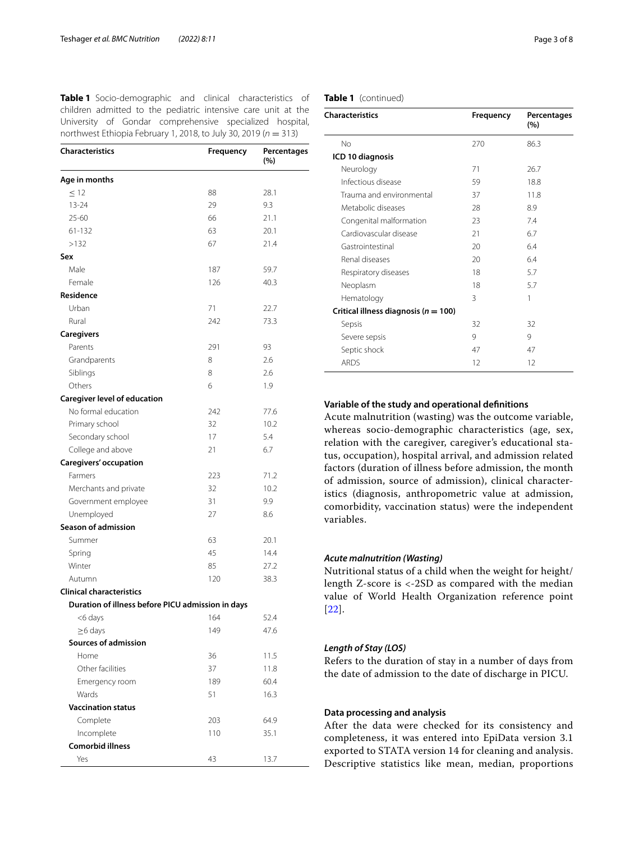| <b>Characteristics</b>                            | Frequency | Percentages<br>(%) |
|---------------------------------------------------|-----------|--------------------|
| Age in months                                     |           |                    |
| $\leq$ 12                                         | 88        | 28.1               |
| $13 - 24$                                         | 29        | 9.3                |
| $25 - 60$                                         | 66        | 21.1               |
| 61-132                                            | 63        | 20.1               |
| >132                                              | 67        | 21.4               |
| Sex                                               |           |                    |
| Male                                              | 187       | 59.7               |
| Female                                            | 126       | 40.3               |
| Residence                                         |           |                    |
| Urban                                             | 71        | 22.7               |
| Rural                                             | 242       | 73.3               |
| Caregivers                                        |           |                    |
| Parents                                           | 291       | 93                 |
| Grandparents                                      | 8         | 2.6                |
| Siblings                                          | 8         | 2.6                |
| Others                                            | 6         | 1.9                |
| <b>Caregiver level of education</b>               |           |                    |
| No formal education                               | 242       | 77.6               |
| Primary school                                    | 32        | 10.2               |
| Secondary school                                  | 17        | 5.4                |
| College and above                                 | 21        | 6.7                |
| Caregivers' occupation                            |           |                    |
| Farmers                                           | 223       | 71.2               |
| Merchants and private                             | 32        | 10.2               |
| Government employee                               | 31        | 9.9                |
| Unemployed                                        | 27        | 8.6                |
| <b>Season of admission</b>                        |           |                    |
| Summer                                            | 63        | 20.1               |
| Spring                                            | 45        | 14.4               |
| Winter                                            | 85        | 27.2               |
| Autumn                                            | 120       | 38.3               |
| <b>Clinical characteristics</b>                   |           |                    |
| Duration of illness before PICU admission in days |           |                    |
| <6 days                                           | 164       | 52.4               |
| $\geq$ 6 days                                     | 149       | 47.6               |
| Sources of admission                              |           |                    |
| Home                                              | 36        | 11.5               |
| Other facilities                                  | 37        | 11.8               |
| Emergency room                                    | 189       | 60.4               |
| Wards                                             | 51        | 16.3               |
| <b>Vaccination status</b>                         |           |                    |
| Complete                                          | 203       | 64.9               |
| Incomplete                                        | 110       | 35.1               |
| <b>Comorbid illness</b>                           |           |                    |
| Yes                                               | 43        | 13.7               |

<span id="page-2-0"></span>**Table 1** Socio-demographic and clinical characteristics of children admitted to the pediatric intensive care unit at the University of Gondar comprehensive specialized hospital, northwest Ethiopia February 1, 2018, to July 30, 2019 (*n* = 313)

# **Table 1** (continued)

| <b>Characteristics</b>                   | Frequency | Percentages<br>(%) |
|------------------------------------------|-----------|--------------------|
| No                                       | 270       | 86.3               |
| ICD 10 diagnosis                         |           |                    |
| Neurology                                | 71        | 26.7               |
| Infectious disease                       | 59        | 18.8               |
| Trauma and environmental                 | 37        | 11.8               |
| Metabolic diseases                       | 28        | 8.9                |
| Congenital malformation                  | 23        | 7.4                |
| Cardiovascular disease                   | 21        | 6.7                |
| Gastrointestinal                         | 20        | 64                 |
| Renal diseases                           | 20        | 6.4                |
| Respiratory diseases                     | 18        | 5.7                |
| Neoplasm                                 | 18        | 5.7                |
| Hematology                               | ξ         | 1                  |
| Critical illness diagnosis ( $n = 100$ ) |           |                    |
| Sepsis                                   | 32        | 32                 |
| Severe sepsis                            | 9         | 9                  |
| Septic shock                             | 47        | 47                 |
| <b>ARDS</b>                              | 12        | 12                 |
|                                          |           |                    |

# **Variable of the study and operational defnitions**

Acute malnutrition (wasting) was the outcome variable, whereas socio-demographic characteristics (age, sex, relation with the caregiver, caregiver's educational status, occupation), hospital arrival, and admission related factors (duration of illness before admission, the month of admission, source of admission), clinical characteristics (diagnosis, anthropometric value at admission, comorbidity, vaccination status) were the independent variables.

## *Acute malnutrition (Wasting)*

Nutritional status of a child when the weight for height/ length Z-score is <-2SD as compared with the median value of World Health Organization reference point [[22](#page-7-2)].

## *Length of Stay (LOS)*

Refers to the duration of stay in a number of days from the date of admission to the date of discharge in PICU.

# **Data processing and analysis**

After the data were checked for its consistency and completeness, it was entered into EpiData version 3.1 exported to STATA version 14 for cleaning and analysis. Descriptive statistics like mean, median, proportions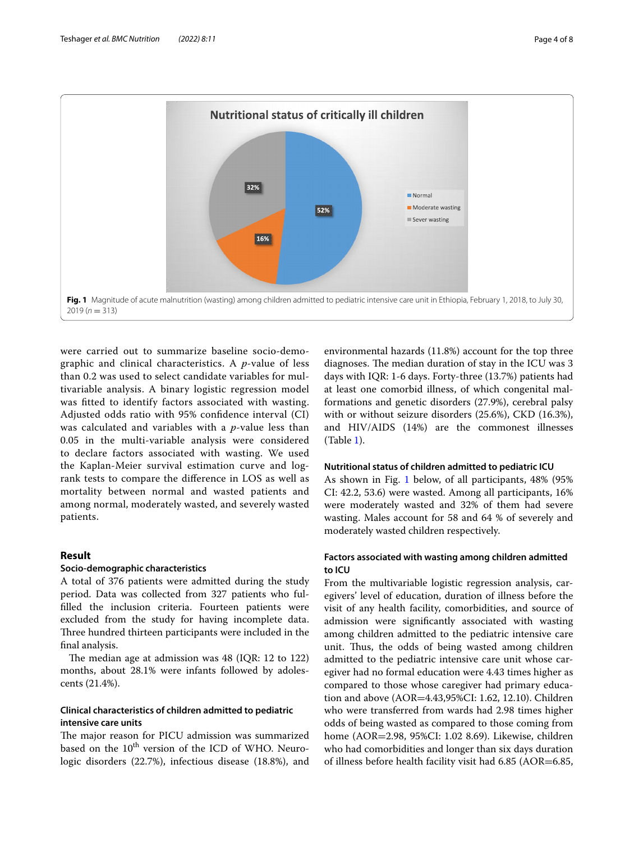

<span id="page-3-0"></span>were carried out to summarize baseline socio-demographic and clinical characteristics. A *p*-value of less than 0.2 was used to select candidate variables for multivariable analysis. A binary logistic regression model was ftted to identify factors associated with wasting. Adjusted odds ratio with 95% confdence interval (CI) was calculated and variables with a *p*-value less than 0.05 in the multi-variable analysis were considered to declare factors associated with wasting. We used the Kaplan-Meier survival estimation curve and logrank tests to compare the diference in LOS as well as mortality between normal and wasted patients and among normal, moderately wasted, and severely wasted patients.

# **Result**

## **Socio‑demographic characteristics**

A total of 376 patients were admitted during the study period. Data was collected from 327 patients who fulflled the inclusion criteria. Fourteen patients were excluded from the study for having incomplete data. Three hundred thirteen participants were included in the fnal analysis.

The median age at admission was  $48$  (IQR: 12 to 122) months, about 28.1% were infants followed by adolescents (21.4%).

# **Clinical characteristics of children admitted to pediatric intensive care units**

The major reason for PICU admission was summarized based on the 10<sup>th</sup> version of the ICD of WHO. Neurologic disorders (22.7%), infectious disease (18.8%), and environmental hazards (11.8%) account for the top three diagnoses. The median duration of stay in the ICU was 3 days with IQR: 1-6 days. Forty-three (13.7%) patients had at least one comorbid illness, of which congenital malformations and genetic disorders (27.9%), cerebral palsy with or without seizure disorders (25.6%), CKD (16.3%), and HIV/AIDS (14%) are the commonest illnesses (Table [1\)](#page-2-0).

#### **Nutritional status of children admitted to pediatric ICU**

As shown in Fig. [1](#page-3-0) below, of all participants, 48% (95% CI: 42.2, 53.6) were wasted. Among all participants, 16% were moderately wasted and 32% of them had severe wasting. Males account for 58 and 64 % of severely and moderately wasted children respectively.

# **Factors associated with wasting among children admitted to ICU**

From the multivariable logistic regression analysis, caregivers' level of education, duration of illness before the visit of any health facility, comorbidities, and source of admission were signifcantly associated with wasting among children admitted to the pediatric intensive care unit. Thus, the odds of being wasted among children admitted to the pediatric intensive care unit whose caregiver had no formal education were 4.43 times higher as compared to those whose caregiver had primary education and above (AOR=4.43,95%CI: 1.62, 12.10). Children who were transferred from wards had 2.98 times higher odds of being wasted as compared to those coming from home (AOR=2.98, 95%CI: 1.02 8.69). Likewise, children who had comorbidities and longer than six days duration of illness before health facility visit had 6.85 (AOR=6.85,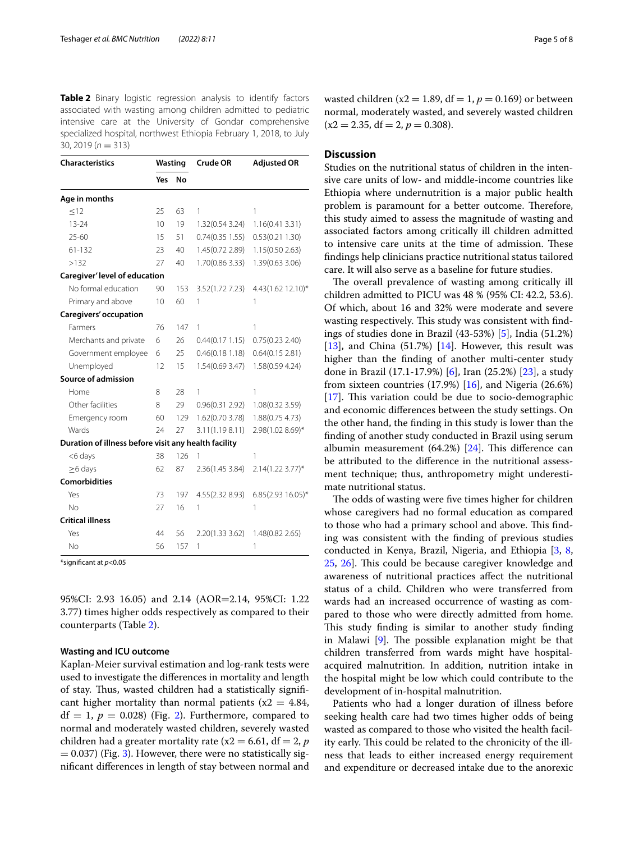<span id="page-4-0"></span>**Table 2** Binary logistic regression analysis to identify factors associated with wasting among children admitted to pediatric intensive care at the University of Gondar comprehensive specialized hospital, northwest Ethiopia February 1, 2018, to July 30, 2019 (*n* = 313)

| <b>Characteristics</b>                               | Wasting |           | Crude OR        | <b>Adjusted OR</b>  |  |  |
|------------------------------------------------------|---------|-----------|-----------------|---------------------|--|--|
|                                                      | Yes     | <b>No</b> |                 |                     |  |  |
| Age in months                                        |         |           |                 |                     |  |  |
| < 12                                                 | 25      | 63        | 1               | 1                   |  |  |
| $13 - 24$                                            | 10      | 19        | 1.32(0.54 3.24) | 1.16(0.413.31)      |  |  |
| $25 - 60$                                            | 15      | 51        | 0.74(0.35 1.55) | 0.53(0.211.30)      |  |  |
| $61 - 132$                                           | 23      | 40        | 1.45(0.72 2.89) | 1.15(0.50 2.63)     |  |  |
| >132                                                 | 27      | 40        | 1.70(0.86 3.33) | 1.39(0.63 3.06)     |  |  |
| Caregiver' level of education                        |         |           |                 |                     |  |  |
| No formal education                                  | 90      | 153       | 3.52(1.72 7.23) | 4.43(1.62 12.10)*   |  |  |
| Primary and above                                    | 10      | 60        | 1               | 1                   |  |  |
| Caregivers' occupation                               |         |           |                 |                     |  |  |
| Farmers                                              | 76      | 147       | 1               | 1                   |  |  |
| Merchants and private                                | 6       | 26        | 0.44(0.171.15)  | 0.75(0.23 2.40)     |  |  |
| Government employee                                  | 6       | 25        | 0.46(0.181.18)  | 0.64(0.15 2.81)     |  |  |
| Unemployed                                           | 12      | 15        | 1.54(0.69 3.47) | 1.58(0.59 4.24)     |  |  |
| Source of admission                                  |         |           |                 |                     |  |  |
| Home                                                 | 8       | 28        | 1               | 1                   |  |  |
| Other facilities                                     | 8       | 29        | 0.96(0.312.92)  | 1.08(0.32 3.59)     |  |  |
| Emergency room                                       | 60      | 129       | 1.62(0.70 3.78) | 1.88(0.75 4.73)     |  |  |
| Wards                                                | 24      | 27        | 3.11(1.198.11)  | 2.98(1.02 8.69)*    |  |  |
| Duration of illness before visit any health facility |         |           |                 |                     |  |  |
| <6 days                                              | 38      | 126       | 1               | 1                   |  |  |
| $\geq$ 6 days                                        | 62      | 87        | 2.36(1.453.84)  | 2.14(1.22 3.77)*    |  |  |
| <b>Comorbidities</b>                                 |         |           |                 |                     |  |  |
| Yes                                                  | 73      | 197       | 4.55(2.32 8.93) | $6.85(2.9316.05)^*$ |  |  |
| Nο                                                   | 27      | 16        | 1               | 1                   |  |  |
| <b>Critical illness</b>                              |         |           |                 |                     |  |  |
| Yes                                                  | 44      | 56        | 2.20(1.333.62)  | 1.48(0.82 2.65)     |  |  |
| No                                                   | 56      | 157       | 1               | 1                   |  |  |

\*signifcant at *p*<0.05

95%CI: 2.93 16.05) and 2.14 (AOR=2.14, 95%CI: 1.22 3.77) times higher odds respectively as compared to their counterparts (Table [2](#page-4-0)).

### **Wasting and ICU outcome**

Kaplan-Meier survival estimation and log-rank tests were used to investigate the diferences in mortality and length of stay. Thus, wasted children had a statistically significant higher mortality than normal patients ( $x2 = 4.84$ ,  $df = 1$ ,  $p = 0.028$ ) (Fig. [2\)](#page-5-0). Furthermore, compared to normal and moderately wasted children, severely wasted children had a greater mortality rate ( $x2 = 6.61$ , df = 2, *p*  $= 0.037$ ) (Fig. [3\)](#page-5-1). However, there were no statistically signifcant diferences in length of stay between normal and wasted children ( $x2 = 1.89$ , df = 1,  $p = 0.169$ ) or between normal, moderately wasted, and severely wasted children  $(x2 = 2.35, df = 2, p = 0.308).$ 

# **Discussion**

Studies on the nutritional status of children in the intensive care units of low- and middle-income countries like Ethiopia where undernutrition is a major public health problem is paramount for a better outcome. Therefore, this study aimed to assess the magnitude of wasting and associated factors among critically ill children admitted to intensive care units at the time of admission. These fndings help clinicians practice nutritional status tailored care. It will also serve as a baseline for future studies.

The overall prevalence of wasting among critically ill children admitted to PICU was 48 % (95% CI: 42.2, 53.6). Of which, about 16 and 32% were moderate and severe wasting respectively. This study was consistent with findings of studies done in Brazil (43-53%) [[5\]](#page-6-5), India (51.2%) [[13\]](#page-6-10), and China  $(51.7%)$  [[14\]](#page-6-16). However, this result was higher than the fnding of another multi-center study done in Brazil (17.1-17.9%) [\[6](#page-6-17)], Iran (25.2%) [\[23](#page-7-3)], a study from sixteen countries  $(17.9%)$  [\[16\]](#page-6-12), and Nigeria  $(26.6%)$ [[17\]](#page-6-13). This variation could be due to socio-demographic and economic diferences between the study settings. On the other hand, the fnding in this study is lower than the fnding of another study conducted in Brazil using serum albumin measurement  $(64.2%)$  [\[24](#page-7-4)]. This difference can be attributed to the diference in the nutritional assessment technique; thus, anthropometry might underestimate nutritional status.

The odds of wasting were five times higher for children whose caregivers had no formal education as compared to those who had a primary school and above. This finding was consistent with the fnding of previous studies conducted in Kenya, Brazil, Nigeria, and Ethiopia [[3,](#page-6-2) [8](#page-6-4), [25,](#page-7-5) [26](#page-7-6)]. This could be because caregiver knowledge and awareness of nutritional practices afect the nutritional status of a child. Children who were transferred from wards had an increased occurrence of wasting as compared to those who were directly admitted from home. This study finding is similar to another study finding in Malawi  $[9]$  $[9]$ . The possible explanation might be that children transferred from wards might have hospitalacquired malnutrition. In addition, nutrition intake in the hospital might be low which could contribute to the development of in-hospital malnutrition.

Patients who had a longer duration of illness before seeking health care had two times higher odds of being wasted as compared to those who visited the health facility early. This could be related to the chronicity of the illness that leads to either increased energy requirement and expenditure or decreased intake due to the anorexic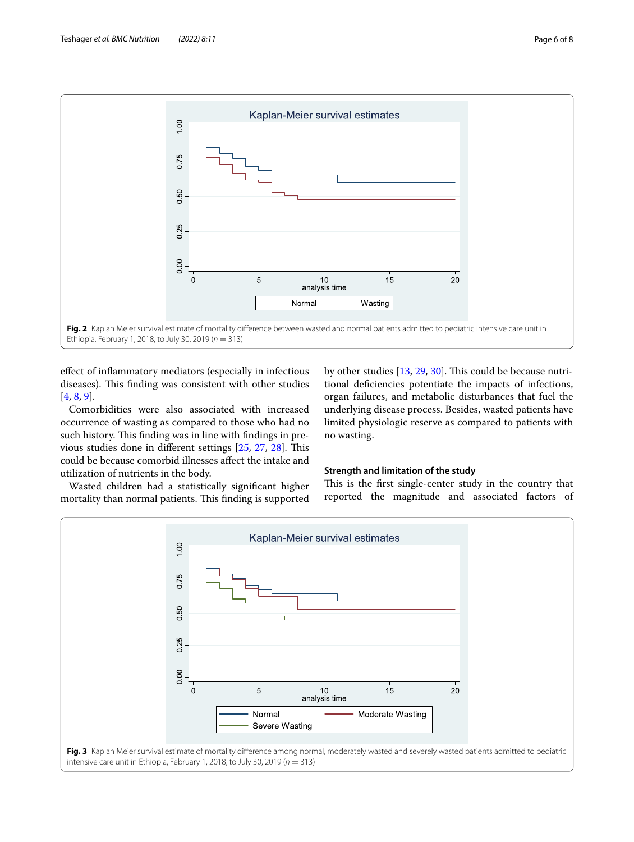

<span id="page-5-0"></span>efect of infammatory mediators (especially in infectious diseases). This finding was consistent with other studies [[4,](#page-6-18) [8](#page-6-4), [9\]](#page-6-6).

Comorbidities were also associated with increased occurrence of wasting as compared to those who had no such history. This finding was in line with findings in pre-vious studies done in different settings [\[25,](#page-7-5) [27](#page-7-7), [28](#page-7-8)]. This could be because comorbid illnesses afect the intake and utilization of nutrients in the body.

by other studies [[13](#page-6-10), [29,](#page-7-9) [30](#page-7-10)]. This could be because nutritional defciencies potentiate the impacts of infections, organ failures, and metabolic disturbances that fuel the underlying disease process. Besides, wasted patients have limited physiologic reserve as compared to patients with no wasting.

**Strength and limitation of the study**

Wasted children had a statistically signifcant higher mortality than normal patients. This finding is supported This is the first single-center study in the country that reported the magnitude and associated factors of

<span id="page-5-1"></span>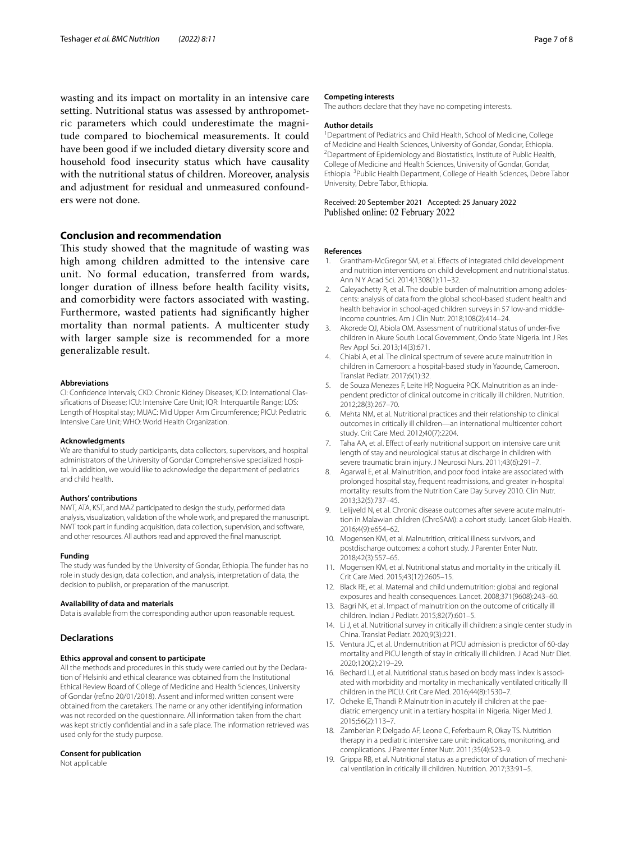wasting and its impact on mortality in an intensive care setting. Nutritional status was assessed by anthropometric parameters which could underestimate the magnitude compared to biochemical measurements. It could have been good if we included dietary diversity score and household food insecurity status which have causality with the nutritional status of children. Moreover, analysis and adjustment for residual and unmeasured confounders were not done.

## **Conclusion and recommendation**

This study showed that the magnitude of wasting was high among children admitted to the intensive care unit. No formal education, transferred from wards, longer duration of illness before health facility visits, and comorbidity were factors associated with wasting. Furthermore, wasted patients had signifcantly higher mortality than normal patients. A multicenter study with larger sample size is recommended for a more generalizable result.

#### **Abbreviations**

CI: Confdence Intervals; CKD: Chronic Kidney Diseases; ICD: International Classifcations of Disease; ICU: Intensive Care Unit; IQR: Interquartile Range; LOS: Length of Hospital stay; MUAC: Mid Upper Arm Circumference; PICU: Pediatric Intensive Care Unit; WHO: World Health Organization.

#### **Acknowledgments**

We are thankful to study participants, data collectors, supervisors, and hospital administrators of the University of Gondar Comprehensive specialized hospital. In addition, we would like to acknowledge the department of pediatrics and child health.

#### **Authors' contributions**

NWT, ATA, KST, and MAZ participated to design the study, performed data analysis, visualization, validation of the whole work, and prepared the manuscript. NWT took part in funding acquisition, data collection, supervision, and software, and other resources. All authors read and approved the fnal manuscript.

#### **Funding**

The study was funded by the University of Gondar, Ethiopia. The funder has no role in study design, data collection, and analysis, interpretation of data, the decision to publish, or preparation of the manuscript.

#### **Availability of data and materials**

Data is available from the corresponding author upon reasonable request.

#### **Declarations**

#### **Ethics approval and consent to participate**

All the methods and procedures in this study were carried out by the Declaration of Helsinki and ethical clearance was obtained from the Institutional Ethical Review Board of College of Medicine and Health Sciences, University of Gondar (ref.no 20/01/2018). Assent and informed written consent were obtained from the caretakers. The name or any other identifying information was not recorded on the questionnaire. All information taken from the chart was kept strictly confdential and in a safe place. The information retrieved was used only for the study purpose.

#### **Consent for publication**

Not applicable

#### **Competing interests**

The authors declare that they have no competing interests.

#### **Author details**

<sup>1</sup> Department of Pediatrics and Child Health, School of Medicine, College of Medicine and Health Sciences, University of Gondar, Gondar, Ethiopia. 2 <sup>2</sup> Department of Epidemiology and Biostatistics, Institute of Public Health, College of Medicine and Health Sciences, University of Gondar, Gondar, Ethiopia. <sup>3</sup> Public Health Department, College of Health Sciences, Debre Tabor University, Debre Tabor, Ethiopia.

Received: 20 September 2021 Accepted: 25 January 2022 Published online: 02 February 2022

#### **References**

- <span id="page-6-0"></span>1. Grantham-McGregor SM, et al. Efects of integrated child development and nutrition interventions on child development and nutritional status. Ann N Y Acad Sci. 2014;1308(1):11–32.
- <span id="page-6-1"></span>2. Caleyachetty R, et al. The double burden of malnutrition among adolescents: analysis of data from the global school-based student health and health behavior in school-aged children surveys in 57 low-and middleincome countries. Am J Clin Nutr. 2018;108(2):414–24.
- <span id="page-6-2"></span>3. Akorede QJ, Abiola OM. Assessment of nutritional status of under-fve children in Akure South Local Government, Ondo State Nigeria. Int J Res Rev Appl Sci. 2013;14(3):671.
- <span id="page-6-18"></span>4. Chiabi A, et al. The clinical spectrum of severe acute malnutrition in children in Cameroon: a hospital-based study in Yaounde, Cameroon. Translat Pediatr. 2017;6(1):32.
- <span id="page-6-5"></span>5. de Souza Menezes F, Leite HP, Nogueira PCK. Malnutrition as an independent predictor of clinical outcome in critically ill children. Nutrition. 2012;28(3):267–70.
- <span id="page-6-17"></span>6. Mehta NM, et al. Nutritional practices and their relationship to clinical outcomes in critically ill children—an international multicenter cohort study. Crit Care Med. 2012;40(7):2204.
- <span id="page-6-3"></span>Taha AA, et al. Effect of early nutritional support on intensive care unit length of stay and neurological status at discharge in children with severe traumatic brain injury. J Neurosci Nurs. 2011;43(6):291–7.
- <span id="page-6-4"></span>Agarwal E, et al. Malnutrition, and poor food intake are associated with prolonged hospital stay, frequent readmissions, and greater in-hospital mortality: results from the Nutrition Care Day Survey 2010. Clin Nutr. 2013;32(5):737–45.
- <span id="page-6-6"></span>9. Lelijveld N, et al. Chronic disease outcomes after severe acute malnutrition in Malawian children (ChroSAM): a cohort study. Lancet Glob Health. 2016;4(9):e654–62.
- <span id="page-6-7"></span>10. Mogensen KM, et al. Malnutrition, critical illness survivors, and postdischarge outcomes: a cohort study. J Parenter Enter Nutr. 2018;42(3):557–65.
- <span id="page-6-8"></span>11. Mogensen KM, et al. Nutritional status and mortality in the critically ill. Crit Care Med. 2015;43(12):2605–15.
- <span id="page-6-9"></span>12. Black RE, et al. Maternal and child undernutrition: global and regional exposures and health consequences. Lancet. 2008;371(9608):243–60.
- <span id="page-6-10"></span>13. Bagri NK, et al. Impact of malnutrition on the outcome of critically ill children. Indian J Pediatr. 2015;82(7):601–5.
- <span id="page-6-16"></span>14. Li J, et al. Nutritional survey in critically ill children: a single center study in China. Translat Pediatr. 2020;9(3):221.
- <span id="page-6-11"></span>15. Ventura JC, et al. Undernutrition at PICU admission is predictor of 60-day mortality and PICU length of stay in critically ill children. J Acad Nutr Diet. 2020;120(2):219–29.
- <span id="page-6-12"></span>16. Bechard LJ, et al. Nutritional status based on body mass index is associated with morbidity and mortality in mechanically ventilated critically Ill children in the PICU. Crit Care Med. 2016;44(8):1530–7.
- <span id="page-6-13"></span>17. Ocheke IE, Thandi P. Malnutrition in acutely ill children at the paediatric emergency unit in a tertiary hospital in Nigeria. Niger Med J. 2015;56(2):113–7.
- <span id="page-6-14"></span>18. Zamberlan P, Delgado AF, Leone C, Feferbaum R, Okay TS. Nutrition therapy in a pediatric intensive care unit: indications, monitoring, and complications. J Parenter Enter Nutr. 2011;35(4):523–9.
- <span id="page-6-15"></span>19. Grippa RB, et al. Nutritional status as a predictor of duration of mechanical ventilation in critically ill children. Nutrition. 2017;33:91–5.